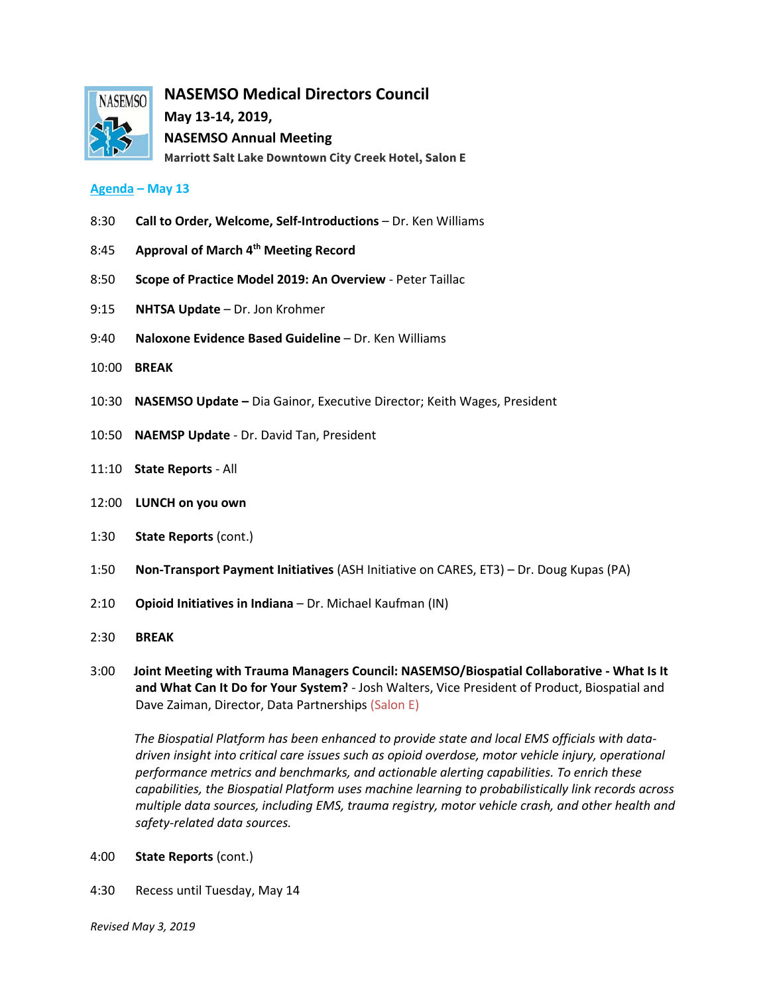

**NASEMSO Medical Directors Council**

**May 13-14, 2019, NASEMSO Annual Meeting Marriott Salt Lake Downtown City Creek Hotel, Salon E**

## **Agenda – May 13**

- 8:30 **Call to Order, Welcome, Self-Introductions** Dr. Ken Williams
- 8:45 **Approval of March 4th Meeting Record**
- 8:50 **Scope of Practice Model 2019: An Overview**  Peter Taillac
- 9:15 **NHTSA Update** Dr. Jon Krohmer
- 9:40 **Naloxone Evidence Based Guideline**  Dr. Ken Williams
- 10:00 **BREAK**
- 10:30 **NASEMSO Update –** Dia Gainor, Executive Director; Keith Wages, President
- 10:50 **NAEMSP Update**  Dr. David Tan, President
- 11:10 **State Reports** All
- 12:00 **LUNCH on you own**
- 1:30 **State Reports** (cont.)
- 1:50 **Non-Transport Payment Initiatives** (ASH Initiative on CARES, ET3) Dr. Doug Kupas (PA)
- 2:10 **Opioid Initiatives in Indiana**  Dr. Michael Kaufman (IN)
- 2:30 **BREAK**
- 3:00 **Joint Meeting with Trauma Managers Council: NASEMSO/Biospatial Collaborative - What Is It and What Can It Do for Your System?** - Josh Walters, Vice President of Product, Biospatial and Dave Zaiman, Director, Data Partnerships (Salon E)

 *The Biospatial Platform has been enhanced to provide state and local EMS officials with datadriven insight into critical care issues such as opioid overdose, motor vehicle injury, operational performance metrics and benchmarks, and actionable alerting capabilities. To enrich these capabilities, the Biospatial Platform uses machine learning to probabilistically link records across multiple data sources, including EMS, trauma registry, motor vehicle crash, and other health and safety-related data sources.*

- 4:00 **State Reports** (cont.)
- 4:30 Recess until Tuesday, May 14